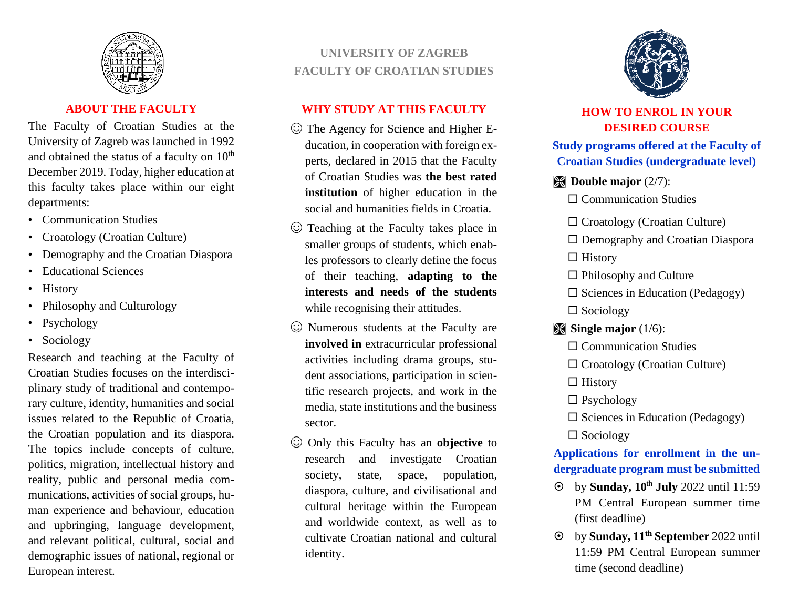

#### **ABOUT THE FACULTY**

The Faculty of Croatian Studies at the University of Zagreb was launched in 1992 and obtained the status of a faculty on  $10<sup>th</sup>$ December 2019. Today, higher education at this faculty takes place within our eight departments:

- Communication Studies
- Croatology (Croatian Culture)
- Demography and the Croatian Diaspora
- Educational Sciences
- History
- Philosophy and Culturology
- **Psychology**
- Sociology

Research and teaching at the Faculty of Croatian Studies focuses on the interdisciplinary study of traditional and contemporary culture, identity, humanities and social issues related to the Republic of Croatia, the Croatian population and its diaspora. The topics include concepts of culture, politics, migration, intellectual history and reality, public and personal media communications, activities of social groups, human experience and behaviour, education and upbringing, language development, and relevant political, cultural, social and demographic issues of national, regional or European interest.

## **UNIVERSITY OF ZAGREB FACULTY OF CROATIAN STUDIES**

### **WHY STUDY AT THIS FACULTY**

- ☺ The Agency for Science and Higher Education, in cooperation with foreign experts, declared in 2015 that the Faculty of Croatian Studies was **the best rated institution** of higher education in the social and humanities fields in Croatia.
- ☺ Teaching at the Faculty takes place in smaller groups of students, which enables professors to clearly define the focus of their teaching, **adapting to the interests and needs of the students** while recognising their attitudes.
- ☺ Numerous students at the Faculty are **involved in** extracurricular professional activities including drama groups, student associations, participation in scientific research projects, and work in the media, state institutions and the business sector.
- ☺ Only this Faculty has an **objective** to research and investigate Croatian society, state, space, population, diaspora, culture, and civilisational and cultural heritage within the European and worldwide context, as well as to cultivate Croatian national and cultural identity.



# **HOW TO ENROL IN YOUR DESIRED COURSE**

### **Study programs offered at the Faculty of Croatian Studies (undergraduate level)**

**Double major** (2/7):

 $\Box$  Communication Studies

- $\Box$  Croatology (Croatian Culture)
- □ Demography and Croatian Diaspora
- $\Box$  History
- $\Box$  Philosophy and Culture
- $\square$  Sciences in Education (Pedagogy)

 $\Box$  Sociology

**Single major** (1/6):

 $\Box$  Communication Studies

 $\Box$  Croatology (Croatian Culture)

 $\Box$  History

 $\square$  Psychology

 $\square$  Sciences in Education (Pedagogy)

 $\square$  Sociology

## **Applications for enrollment in the undergraduate program must be submitted**

- $\odot$  by **Sunday, 10<sup>th</sup> July** 2022 until 11:59 PM Central European summer time (first deadline)
- by **Sunday, 11 th September** 2022 until 11:59 PM Central European summer time (second deadline)